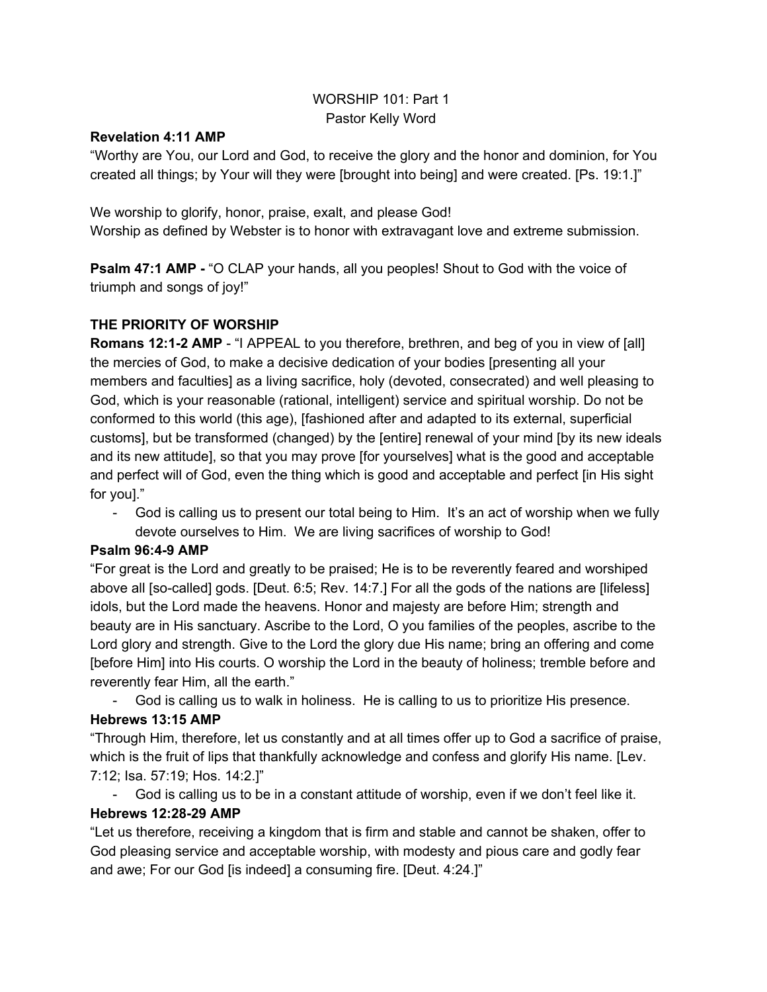# WORSHIP 101: Part 1 Pastor Kelly Word

## **Revelation 4:11 AMP**

"Worthy are You, our Lord and God, to receive the glory and the honor and dominion, for You created all things; by Your will they were [brought into being] and were created. [Ps. 19:1.]"

We worship to glorify, honor, praise, exalt, and please God! Worship as defined by Webster is to honor with extravagant love and extreme submission.

**Psalm 47:1 AMP** - "O CLAP your hands, all you peoples! Shout to God with the voice of triumph and songs of joy!"

# **THE PRIORITY OF WORSHIP**

**Romans 12:1-2 AMP** - "I APPEAL to you therefore, brethren, and beg of you in view of [all] the mercies of God, to make a decisive dedication of your bodies [presenting all your members and faculties] as a living sacrifice, holy (devoted, consecrated) and well pleasing to God, which is your reasonable (rational, intelligent) service and spiritual worship. Do not be conformed to this world (this age), [fashioned after and adapted to its external, superficial customs], but be transformed (changed) by the [entire] renewal of your mind [by its new ideals and its new attitude], so that you may prove [for yourselves] what is the good and acceptable and perfect will of God, even the thing which is good and acceptable and perfect [in His sight for you]."

 God is calling us to present our total being to Him. It's an act of worship when we fully devote ourselves to Him. We are living sacrifices of worship to God!

# **Psalm 96:49 AMP**

"For great is the Lord and greatly to be praised; He is to be reverently feared and worshiped above all [so-called] gods. [Deut. 6:5; Rev. 14:7.] For all the gods of the nations are [lifeless] idols, but the Lord made the heavens. Honor and majesty are before Him; strength and beauty are in His sanctuary. Ascribe to the Lord, O you families of the peoples, ascribe to the Lord glory and strength. Give to the Lord the glory due His name; bring an offering and come [before Him] into His courts. O worship the Lord in the beauty of holiness; tremble before and reverently fear Him, all the earth."

God is calling us to walk in holiness. He is calling to us to prioritize His presence.

# **Hebrews 13:15 AMP**

"Through Him, therefore, let us constantly and at all times offer up to God a sacrifice of praise, which is the fruit of lips that thankfully acknowledge and confess and glorify His name. [Lev. 7:12; Isa. 57:19; Hos. 14:2.]"

 God is calling us to be in a constant attitude of worship, even if we don't feel like it. **Hebrews 12:2829 AMP**

"Let us therefore, receiving a kingdom that is firm and stable and cannot be shaken, offer to God pleasing service and acceptable worship, with modesty and pious care and godly fear and awe; For our God [is indeed] a consuming fire. [Deut. 4:24.]"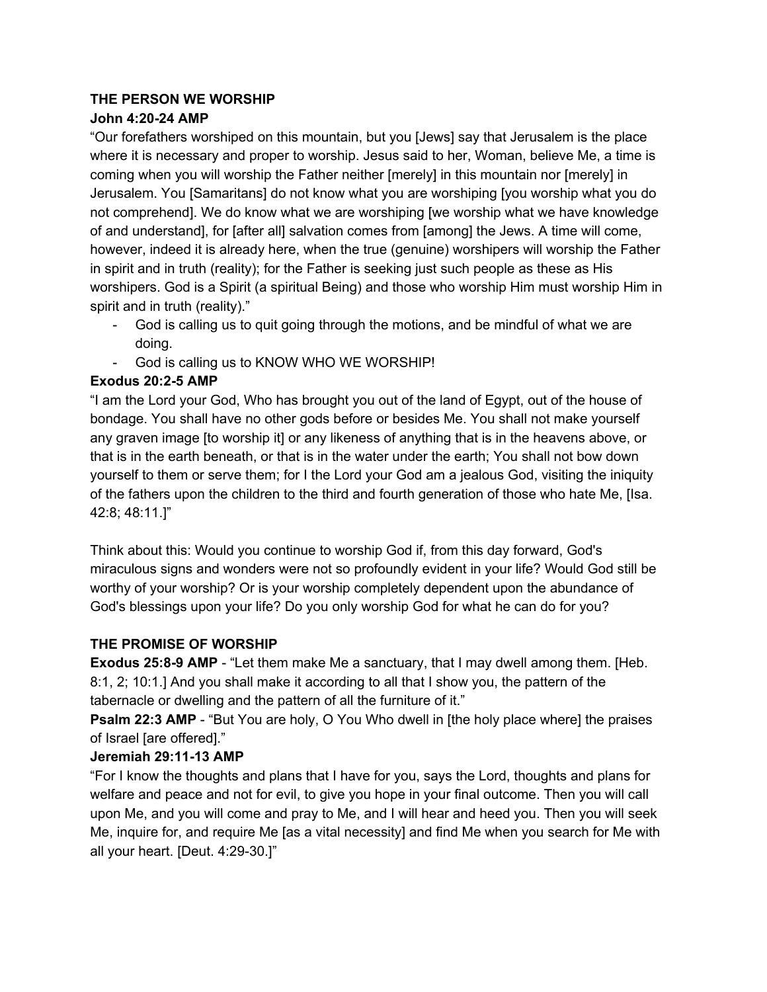# **THE PERSON WE WORSHIP**

# **John 4:2024 AMP**

"Our forefathers worshiped on this mountain, but you [Jews] say that Jerusalem is the place where it is necessary and proper to worship. Jesus said to her, Woman, believe Me, a time is coming when you will worship the Father neither [merely] in this mountain nor [merely] in Jerusalem. You [Samaritans] do not know what you are worshiping [you worship what you do not comprehend]. We do know what we are worshiping [we worship what we have knowledge of and understand], for [after all] salvation comes from [among] the Jews. A time will come, however, indeed it is already here, when the true (genuine) worshipers will worship the Father in spirit and in truth (reality); for the Father is seeking just such people as these as His worshipers. God is a Spirit (a spiritual Being) and those who worship Him must worship Him in spirit and in truth (reality)."

- God is calling us to quit going through the motions, and be mindful of what we are doing.
- God is calling us to KNOW WHO WE WORSHIP!

# **Exodus 20:25 AMP**

"I am the Lord your God, Who has brought you out of the land of Egypt, out of the house of bondage. You shall have no other gods before or besides Me. You shall not make yourself any graven image [to worship it] or any likeness of anything that is in the heavens above, or that is in the earth beneath, or that is in the water under the earth; You shall not bow down yourself to them or serve them; for I the Lord your God am a jealous God, visiting the iniquity of the fathers upon the children to the third and fourth generation of those who hate Me, [Isa. 42:8; 48:11.]"

Think about this: Would you continue to worship God if, from this day forward, God's miraculous signs and wonders were not so profoundly evident in your life? Would God still be worthy of your worship? Or is your worship completely dependent upon the abundance of God's blessings upon your life? Do you only worship God for what he can do for you?

# **THE PROMISE OF WORSHIP**

**Exodus 25:8-9 AMP** - "Let them make Me a sanctuary, that I may dwell among them. [Heb. 8:1, 2; 10:1.] And you shall make it according to all that I show you, the pattern of the tabernacle or dwelling and the pattern of all the furniture of it."

**Psalm 22:3 AMP** - "But You are holy, O You Who dwell in [the holy place where] the praises of Israel [are offered]."

# **Jeremiah 29:1113 AMP**

"For I know the thoughts and plans that I have for you, says the Lord, thoughts and plans for welfare and peace and not for evil, to give you hope in your final outcome. Then you will call upon Me, and you will come and pray to Me, and I will hear and heed you. Then you will seek Me, inquire for, and require Me [as a vital necessity] and find Me when you search for Me with all your heart. [Deut. 4:29-30.]"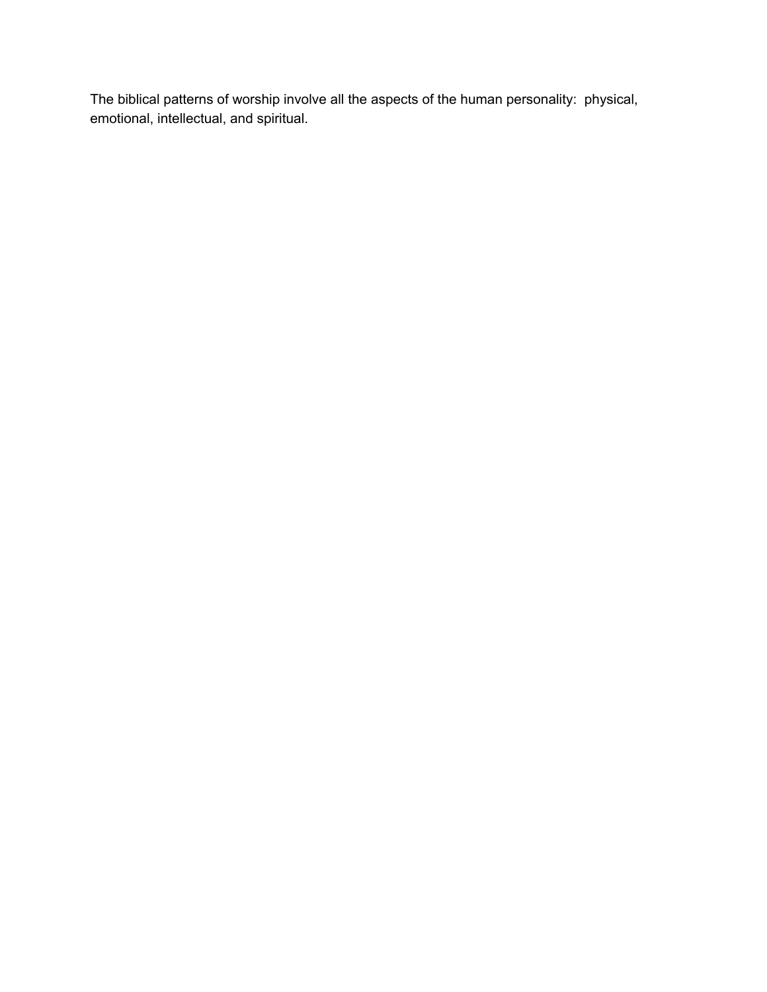The biblical patterns of worship involve all the aspects of the human personality: physical, emotional, intellectual, and spiritual.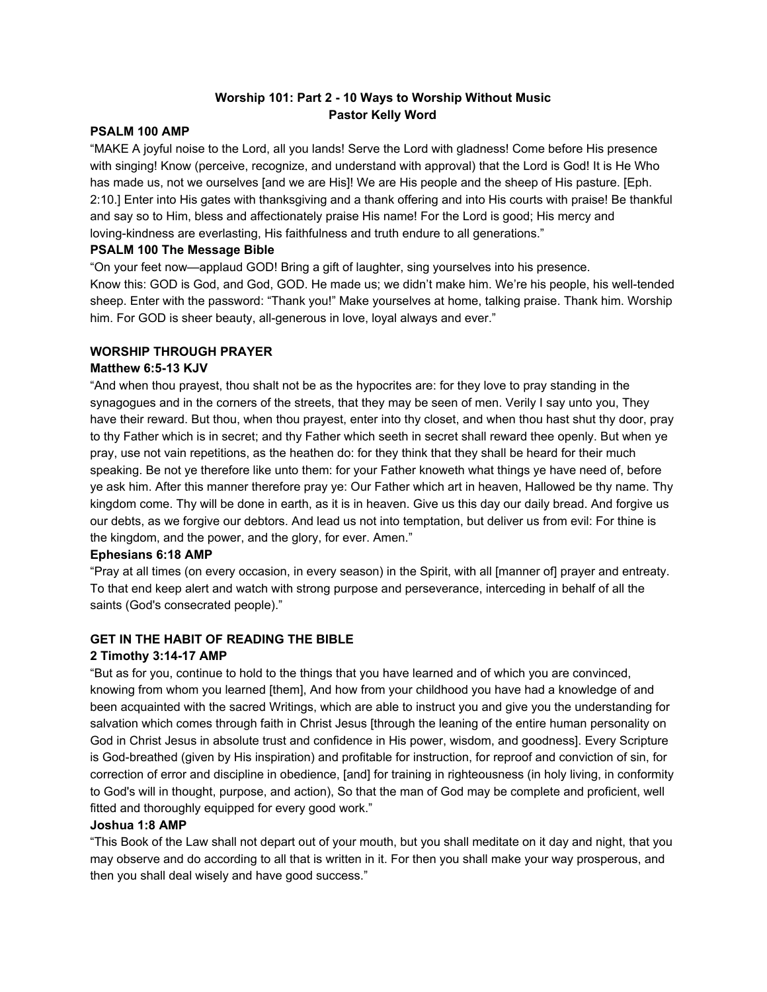### **Worship 101: Part 2 10 Ways to Worship Without Music Pastor Kelly Word**

#### **PSALM 100 AMP**

"MAKE A joyful noise to the Lord, all you lands! Serve the Lord with gladness! Come before His presence with singing! Know (perceive, recognize, and understand with approval) that the Lord is God! It is He Who has made us, not we ourselves [and we are His]! We are His people and the sheep of His pasture. [Eph. 2:10.] Enter into His gates with thanksgiving and a thank offering and into His courts with praise! Be thankful and say so to Him, bless and affectionately praise His name! For the Lord is good; His mercy and loving-kindness are everlasting, His faithfulness and truth endure to all generations."

#### **PSALM 100 The Message Bible**

"On your feet now—applaud GOD! Bring a gift of laughter, sing yourselves into his presence. Know this: GOD is God, and God, GOD. He made us; we didn't make him. We're his people, his well-tended sheep. Enter with the password: "Thank you!" Make yourselves at home, talking praise. Thank him. Worship him. For GOD is sheer beauty, all-generous in love, loyal always and ever."

#### **WORSHIP THROUGH PRAYER**

#### **Matthew 6:513 KJV**

"And when thou prayest, thou shalt not be as the hypocrites are: for they love to pray standing in the synagogues and in the corners of the streets, that they may be seen of men. Verily I say unto you, They have their reward. But thou, when thou prayest, enter into thy closet, and when thou hast shut thy door, pray to thy Father which is in secret; and thy Father which seeth in secret shall reward thee openly. But when ye pray, use not vain repetitions, as the heathen do: for they think that they shall be heard for their much speaking. Be not ye therefore like unto them: for your Father knoweth what things ye have need of, before ye ask him. After this manner therefore pray ye: Our Father which art in heaven, Hallowed be thy name. Thy kingdom come. Thy will be done in earth, as it is in heaven. Give us this day our daily bread. And forgive us our debts, as we forgive our debtors. And lead us not into temptation, but deliver us from evil: For thine is the kingdom, and the power, and the glory, for ever. Amen."

#### **Ephesians 6:18 AMP**

"Pray at all times (on every occasion, in every season) in the Spirit, with all [manner of] prayer and entreaty. To that end keep alert and watch with strong purpose and perseverance, interceding in behalf of all the saints (God's consecrated people)."

#### **GET IN THE HABIT OF READING THE BIBLE**

#### **2 Timothy 3:1417 AMP**

"But as for you, continue to hold to the things that you have learned and of which you are convinced, knowing from whom you learned [them], And how from your childhood you have had a knowledge of and been acquainted with the sacred Writings, which are able to instruct you and give you the understanding for salvation which comes through faith in Christ Jesus [through the leaning of the entire human personality on God in Christ Jesus in absolute trust and confidence in His power, wisdom, and goodness]. Every Scripture is God-breathed (given by His inspiration) and profitable for instruction, for reproof and conviction of sin, for correction of error and discipline in obedience, [and] for training in righteousness (in holy living, in conformity to God's will in thought, purpose, and action), So that the man of God may be complete and proficient, well fitted and thoroughly equipped for every good work."

#### **Joshua 1:8 AMP**

"This Book of the Law shall not depart out of your mouth, but you shall meditate on it day and night, that you may observe and do according to all that is written in it. For then you shall make your way prosperous, and then you shall deal wisely and have good success."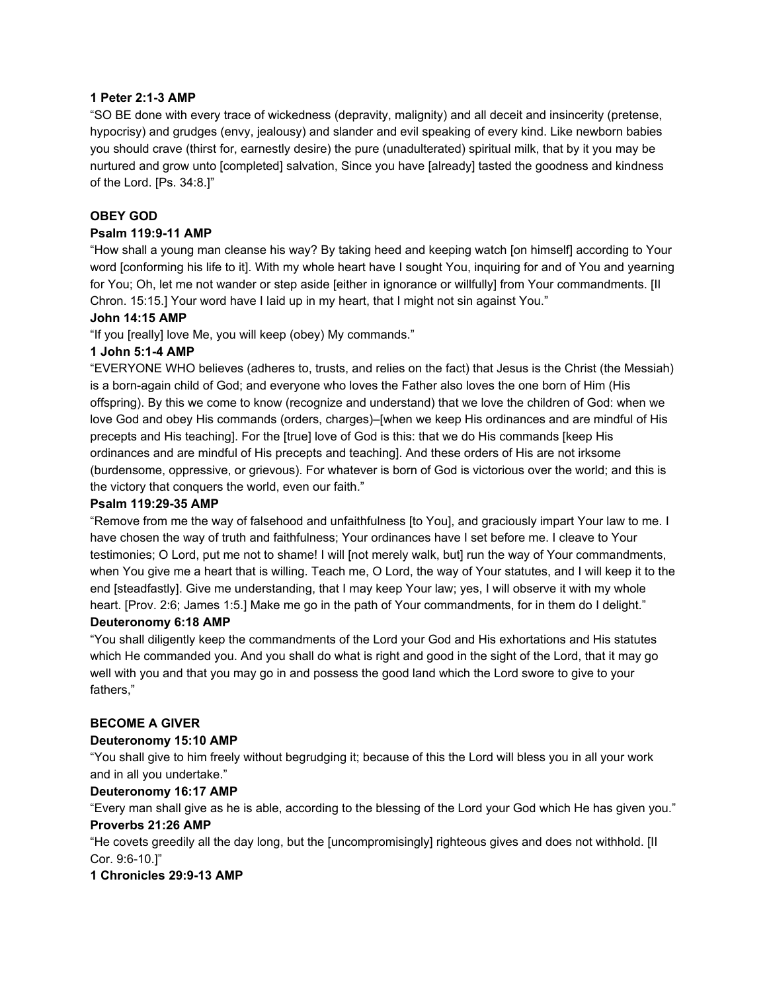#### **1 Peter 2:13 AMP**

"SO BE done with every trace of wickedness (depravity, malignity) and all deceit and insincerity (pretense, hypocrisy) and grudges (envy, jealousy) and slander and evil speaking of every kind. Like newborn babies you should crave (thirst for, earnestly desire) the pure (unadulterated) spiritual milk, that by it you may be nurtured and grow unto [completed] salvation, Since you have [already] tasted the goodness and kindness of the Lord. [Ps. 34:8.]"

#### **OBEY GOD**

#### **Psalm 119:911 AMP**

"How shall a young man cleanse his way? By taking heed and keeping watch [on himself] according to Your word [conforming his life to it]. With my whole heart have I sought You, inquiring for and of You and yearning for You; Oh, let me not wander or step aside [either in ignorance or willfully] from Your commandments. [II Chron. 15:15.] Your word have I laid up in my heart, that I might not sin against You."

#### **John 14:15 AMP**

"If you [really] love Me, you will keep (obey) My commands."

#### **1 John 5:14 AMP**

"EVERYONE WHO believes (adheres to, trusts, and relies on the fact) that Jesus is the Christ (the Messiah) is a born-again child of God; and everyone who loves the Father also loves the one born of Him (His offspring). By this we come to know (recognize and understand) that we love the children of God: when we love God and obey His commands (orders, charges)–[when we keep His ordinances and are mindful of His precepts and His teaching]. For the [true] love of God is this: that we do His commands [keep His ordinances and are mindful of His precepts and teaching]. And these orders of His are not irksome (burdensome, oppressive, or grievous). For whatever is born of God is victorious over the world; and this is the victory that conquers the world, even our faith."

#### **Psalm 119:2935 AMP**

"Remove from me the way of falsehood and unfaithfulness [to You], and graciously impart Your law to me. I have chosen the way of truth and faithfulness; Your ordinances have I set before me. I cleave to Your testimonies; O Lord, put me not to shame! I will [not merely walk, but] run the way of Your commandments, when You give me a heart that is willing. Teach me, O Lord, the way of Your statutes, and I will keep it to the end [steadfastly]. Give me understanding, that I may keep Your law; yes, I will observe it with my whole heart. [Prov. 2:6; James 1:5.] Make me go in the path of Your commandments, for in them do I delight." **Deuteronomy 6:18 AMP**

"You shall diligently keep the commandments of the Lord your God and His exhortations and His statutes which He commanded you. And you shall do what is right and good in the sight of the Lord, that it may go well with you and that you may go in and possess the good land which the Lord swore to give to your fathers,"

#### **BECOME A GIVER**

#### **Deuteronomy 15:10 AMP**

"You shall give to him freely without begrudging it; because of this the Lord will bless you in all your work and in all you undertake."

#### **Deuteronomy 16:17 AMP**

"Every man shall give as he is able, according to the blessing of the Lord your God which He has given you." **Proverbs 21:26 AMP**

"He covets greedily all the day long, but the [uncompromisingly] righteous gives and does not withhold. [II Cor. 9:6-10.1"

#### **1 Chronicles 29:913 AMP**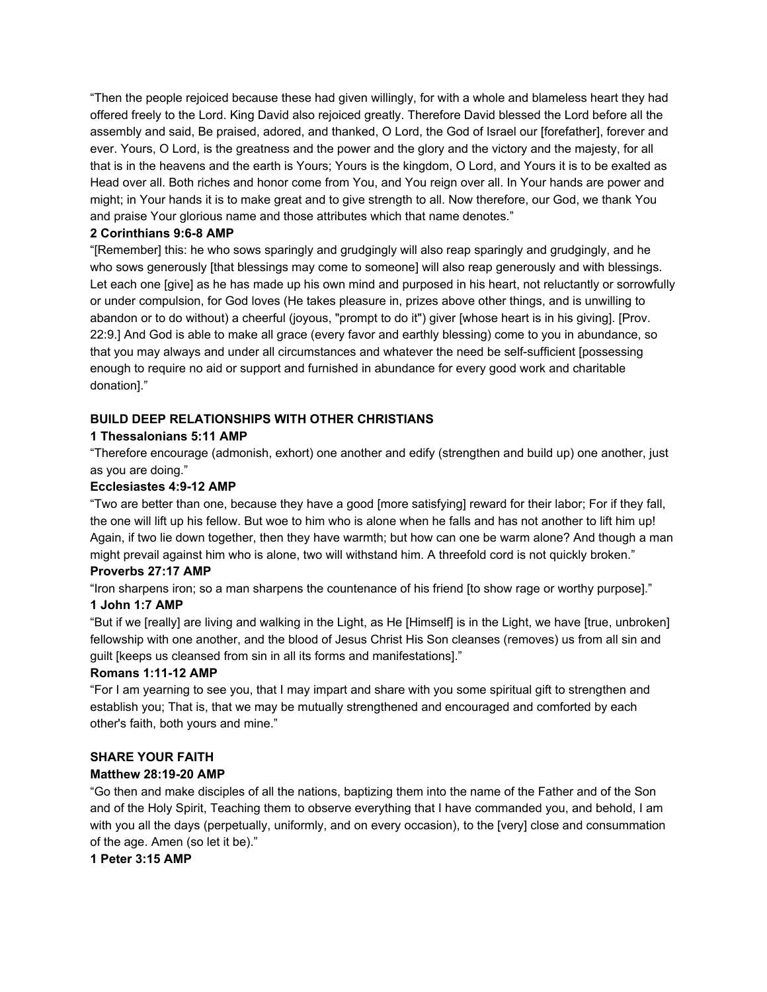"Then the people rejoiced because these had given willingly, for with a whole and blameless heart they had offered freely to the Lord. King David also rejoiced greatly. Therefore David blessed the Lord before all the assembly and said, Be praised, adored, and thanked, O Lord, the God of Israel our [forefather], forever and ever. Yours, O Lord, is the greatness and the power and the glory and the victory and the majesty, for all that is in the heavens and the earth is Yours; Yours is the kingdom, O Lord, and Yours it is to be exalted as Head over all. Both riches and honor come from You, and You reign over all. In Your hands are power and might; in Your hands it is to make great and to give strength to all. Now therefore, our God, we thank You and praise Your glorious name and those attributes which that name denotes."

#### **2 Corinthians 9:68 AMP**

"[Remember] this: he who sows sparingly and grudgingly will also reap sparingly and grudgingly, and he who sows generously [that blessings may come to someone] will also reap generously and with blessings. Let each one [give] as he has made up his own mind and purposed in his heart, not reluctantly or sorrowfully or under compulsion, for God loves (He takes pleasure in, prizes above other things, and is unwilling to abandon or to do without) a cheerful (joyous, "prompt to do it") giver [whose heart is in his giving]. [Prov. 22:9.] And God is able to make all grace (every favor and earthly blessing) come to you in abundance, so that you may always and under all circumstances and whatever the need be self-sufficient [possessing enough to require no aid or support and furnished in abundance for every good work and charitable donation]."

#### **BUILD DEEP RELATIONSHIPS WITH OTHER CHRISTIANS**

### **1 Thessalonians 5:11 AMP**

"Therefore encourage (admonish, exhort) one another and edify (strengthen and build up) one another, just as you are doing."

#### **Ecclesiastes 4:912 AMP**

"Two are better than one, because they have a good [more satisfying] reward for their labor; For if they fall, the one will lift up his fellow. But woe to him who is alone when he falls and has not another to lift him up! Again, if two lie down together, then they have warmth; but how can one be warm alone? And though a man might prevail against him who is alone, two will withstand him. A threefold cord is not quickly broken."

#### **Proverbs 27:17 AMP**

"Iron sharpens iron; so a man sharpens the countenance of his friend [to show rage or worthy purpose]."

#### **1 John 1:7 AMP**

"But if we [really] are living and walking in the Light, as He [Himself] is in the Light, we have [true, unbroken] fellowship with one another, and the blood of Jesus Christ His Son cleanses (removes) us from all sin and guilt [keeps us cleansed from sin in all its forms and manifestations]."

#### **Romans 1:1112 AMP**

"For I am yearning to see you, that I may impart and share with you some spiritual gift to strengthen and establish you; That is, that we may be mutually strengthened and encouraged and comforted by each other's faith, both yours and mine."

#### **SHARE YOUR FAITH**

#### **Matthew 28:1920 AMP**

"Go then and make disciples of all the nations, baptizing them into the name of the Father and of the Son and of the Holy Spirit, Teaching them to observe everything that I have commanded you, and behold, I am with you all the days (perpetually, uniformly, and on every occasion), to the [very] close and consummation of the age. Amen (so let it be)."

**1 Peter 3:15 AMP**